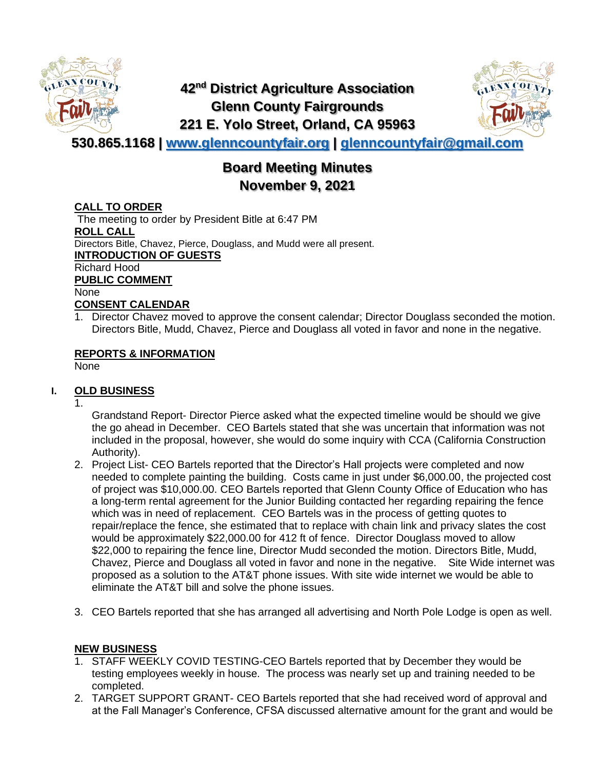

## **42nd District Agriculture Association Glenn County Fairgrounds 221 E. Yolo Street, Orland, CA 95963**



**530.865.1168 | [www.glenncountyfair.org](http://www.glenncountyfair.org/) | [glenncountyfair@gmail.com](mailto:glenncountyfair@gmail.com)**

# **Board Meeting Minutes November 9, 2021**

## **CALL TO ORDER**

The meeting to order by President Bitle at 6:47 PM **ROLL CALL** Directors Bitle, Chavez, Pierce, Douglass, and Mudd were all present. **INTRODUCTION OF GUESTS** Richard Hood **PUBLIC COMMENT** None **CONSENT CALENDAR**

1. Director Chavez moved to approve the consent calendar; Director Douglass seconded the motion. Directors Bitle, Mudd, Chavez, Pierce and Douglass all voted in favor and none in the negative.

## **REPORTS & INFORMATION**

None

## **I. OLD BUSINESS**

1.

Grandstand Report- Director Pierce asked what the expected timeline would be should we give the go ahead in December. CEO Bartels stated that she was uncertain that information was not included in the proposal, however, she would do some inquiry with CCA (California Construction Authority).

- 2. Project List- CEO Bartels reported that the Director's Hall projects were completed and now needed to complete painting the building. Costs came in just under \$6,000.00, the projected cost of project was \$10,000.00. CEO Bartels reported that Glenn County Office of Education who has a long-term rental agreement for the Junior Building contacted her regarding repairing the fence which was in need of replacement. CEO Bartels was in the process of getting quotes to repair/replace the fence, she estimated that to replace with chain link and privacy slates the cost would be approximately \$22,000.00 for 412 ft of fence. Director Douglass moved to allow \$22,000 to repairing the fence line, Director Mudd seconded the motion. Directors Bitle, Mudd, Chavez, Pierce and Douglass all voted in favor and none in the negative. Site Wide internet was proposed as a solution to the AT&T phone issues. With site wide internet we would be able to eliminate the AT&T bill and solve the phone issues.
- 3. CEO Bartels reported that she has arranged all advertising and North Pole Lodge is open as well.

## **NEW BUSINESS**

- 1. STAFF WEEKLY COVID TESTING-CEO Bartels reported that by December they would be testing employees weekly in house. The process was nearly set up and training needed to be completed.
- 2. TARGET SUPPORT GRANT- CEO Bartels reported that she had received word of approval and at the Fall Manager's Conference, CFSA discussed alternative amount for the grant and would be